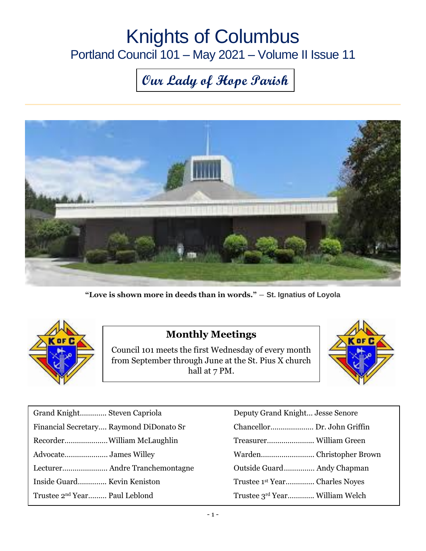## Knights of Columbus Portland Council 101 – May 2021 – Volume II Issue 11

# **Our Lady of Hope Parish**



**"Love is shown more in deeds than in words."** ― **St. Ignatius of Loyola**



#### **Monthly Meetings**

Council 101 meets the first Wednesday of every month from September through June at the St. Pius X church hall at 7 PM.



| Deputy Grand Knight Jesse Senore          |
|-------------------------------------------|
|                                           |
|                                           |
|                                           |
| Outside Guard Andy Chapman                |
| Trustee 1 <sup>st</sup> YearCharles Noyes |
| Trustee 3rd Year William Welch            |
|                                           |

| Deputy Grand Knight Jesse Senore           |  |
|--------------------------------------------|--|
| Chancellor Dr. John Griffin                |  |
|                                            |  |
|                                            |  |
| Outside Guard Andy Chapman                 |  |
| Trustee 1 <sup>st</sup> Year Charles Noves |  |
| Trustee 3rd Year William Welch             |  |
|                                            |  |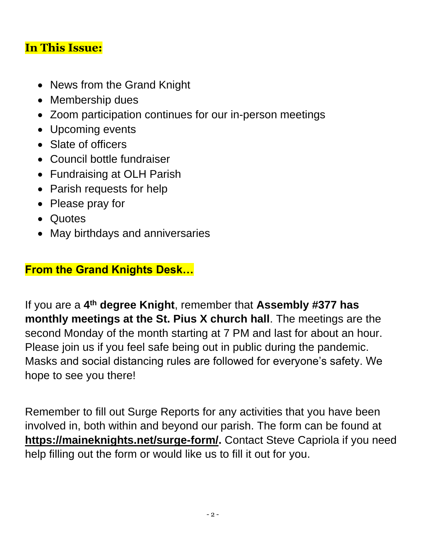#### **In This Issue:**

- News from the Grand Knight
- Membership dues
- Zoom participation continues for our in-person meetings
- Upcoming events
- Slate of officers
- Council bottle fundraiser
- Fundraising at OLH Parish
- Parish requests for help
- Please pray for
- Quotes
- May birthdays and anniversaries

#### **From the Grand Knights Desk…**

If you are a **4 th degree Knight**, remember that **Assembly #377 has monthly meetings at the St. Pius X church hall**. The meetings are the second Monday of the month starting at 7 PM and last for about an hour. Please join us if you feel safe being out in public during the pandemic. Masks and social distancing rules are followed for everyone's safety. We hope to see you there!

Remember to fill out Surge Reports for any activities that you have been involved in, both within and beyond our parish. The form can be found at **[https://maineknights.net/surge-form/.](https://maineknights.net/surge-form/)** Contact Steve Capriola if you need help filling out the form or would like us to fill it out for you.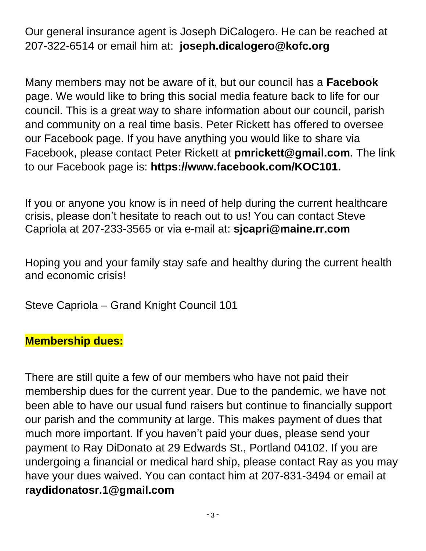Our general insurance agent is Joseph DiCalogero. He can be reached at 207-322-6514 or email him at: **joseph.dicalogero@kofc.org**

Many members may not be aware of it, but our council has a **Facebook** page. We would like to bring this social media feature back to life for our council. This is a great way to share information about our council, parish and community on a real time basis. Peter Rickett has offered to oversee our Facebook page. If you have anything you would like to share via Facebook, please contact Peter Rickett at **[pmrickett@gmail.com](mailto:pmrickett@gmail.com)**. The link to our Facebook page is: **https://www.facebook.com/KOC101.**

If you or anyone you know is in need of help during the current healthcare crisis, please don't hesitate to reach out to us! You can contact Steve Capriola at 207-233-3565 or via e-mail at: **[sjcapri@maine.rr.com](mailto:sjcapri@maine.rr.com)**

Hoping you and your family stay safe and healthy during the current health and economic crisis!

Steve Capriola – Grand Knight Council 101

#### **Membership dues:**

There are still quite a few of our members who have not paid their membership dues for the current year. Due to the pandemic, we have not been able to have our usual fund raisers but continue to financially support our parish and the community at large. This makes payment of dues that much more important. If you haven't paid your dues, please send your payment to Ray DiDonato at 29 Edwards St., Portland 04102. If you are undergoing a financial or medical hard ship, please contact Ray as you may have your dues waived. You can contact him at 207-831-3494 or email at **[raydidonatosr.1@gmail.com](mailto:raydidonatosr.1@gmail.com)**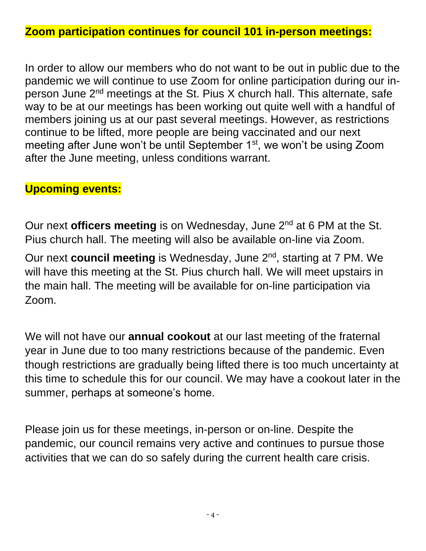#### **Zoom participation continues for council 101 in-person meetings:**

In order to allow our members who do not want to be out in public due to the pandemic we will continue to use Zoom for online participation during our inperson June 2nd meetings at the St. Pius X church hall. This alternate, safe way to be at our meetings has been working out quite well with a handful of members joining us at our past several meetings. However, as restrictions continue to be lifted, more people are being vaccinated and our next meeting after June won't be until September 1<sup>st</sup>, we won't be using Zoom after the June meeting, unless conditions warrant.

#### **Upcoming events:**

Our next **officers meeting** is on Wednesday, June 2<sup>nd</sup> at 6 PM at the St. Pius church hall. The meeting will also be available on-line via Zoom.

Our next **council meeting** is Wednesday, June 2nd, starting at 7 PM. We will have this meeting at the St. Pius church hall. We will meet upstairs in the main hall. The meeting will be available for on-line participation via Zoom.

We will not have our **annual cookout** at our last meeting of the fraternal year in June due to too many restrictions because of the pandemic. Even though restrictions are gradually being lifted there is too much uncertainty at this time to schedule this for our council. We may have a cookout later in the summer, perhaps at someone's home.

Please join us for these meetings, in-person or on-line. Despite the pandemic, our council remains very active and continues to pursue those activities that we can do so safely during the current health care crisis.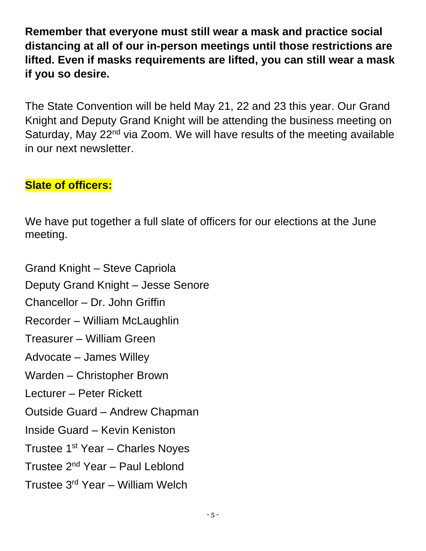**Remember that everyone must still wear a mask and practice social distancing at all of our in-person meetings until those restrictions are lifted. Even if masks requirements are lifted, you can still wear a mask if you so desire.**

The State Convention will be held May 21, 22 and 23 this year. Our Grand Knight and Deputy Grand Knight will be attending the business meeting on Saturday, May 22<sup>nd</sup> via Zoom. We will have results of the meeting available in our next newsletter.

#### **Slate of officers:**

We have put together a full slate of officers for our elections at the June meeting.

Grand Knight – Steve Capriola Deputy Grand Knight – Jesse Senore Chancellor – Dr. John Griffin Recorder – William McLaughlin Treasurer – William Green Advocate – James Willey Warden – Christopher Brown Lecturer – Peter Rickett Outside Guard – Andrew Chapman Inside Guard – Kevin Keniston Trustee 1<sup>st</sup> Year - Charles Noyes Trustee 2nd Year – Paul Leblond Trustee 3rd Year – William Welch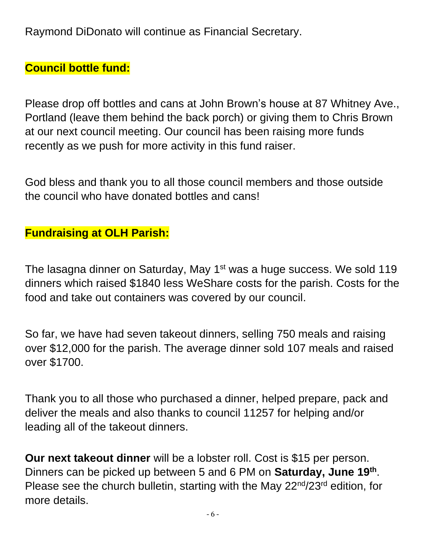Raymond DiDonato will continue as Financial Secretary.

### **Council bottle fund:**

Please drop off bottles and cans at John Brown's house at 87 Whitney Ave., Portland (leave them behind the back porch) or giving them to Chris Brown at our next council meeting. Our council has been raising more funds recently as we push for more activity in this fund raiser.

God bless and thank you to all those council members and those outside the council who have donated bottles and cans!

## **Fundraising at OLH Parish:**

The lasagna dinner on Saturday, May 1<sup>st</sup> was a huge success. We sold 119 dinners which raised \$1840 less WeShare costs for the parish. Costs for the food and take out containers was covered by our council.

So far, we have had seven takeout dinners, selling 750 meals and raising over \$12,000 for the parish. The average dinner sold 107 meals and raised over \$1700.

Thank you to all those who purchased a dinner, helped prepare, pack and deliver the meals and also thanks to council 11257 for helping and/or leading all of the takeout dinners.

**Our next takeout dinner** will be a lobster roll. Cost is \$15 per person. Dinners can be picked up between 5 and 6 PM on **Saturday, June 19th** . Please see the church bulletin, starting with the May 22<sup>nd</sup>/23<sup>rd</sup> edition, for more details.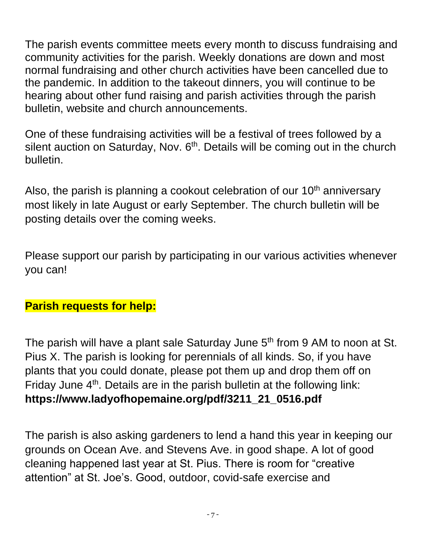The parish events committee meets every month to discuss fundraising and community activities for the parish. Weekly donations are down and most normal fundraising and other church activities have been cancelled due to the pandemic. In addition to the takeout dinners, you will continue to be hearing about other fund raising and parish activities through the parish bulletin, website and church announcements.

One of these fundraising activities will be a festival of trees followed by a silent auction on Saturday, Nov. 6<sup>th</sup>. Details will be coming out in the church bulletin.

Also, the parish is planning a cookout celebration of our  $10<sup>th</sup>$  anniversary most likely in late August or early September. The church bulletin will be posting details over the coming weeks.

Please support our parish by participating in our various activities whenever you can!

#### **Parish requests for help:**

The parish will have a plant sale Saturday June 5<sup>th</sup> from 9 AM to noon at St. Pius X. The parish is looking for perennials of all kinds. So, if you have plants that you could donate, please pot them up and drop them off on Friday June  $4<sup>th</sup>$ . Details are in the parish bulletin at the following link: **https://www.ladyofhopemaine.org/pdf/3211\_21\_0516.pdf**

The parish is also asking gardeners to lend a hand this year in keeping our grounds on Ocean Ave. and Stevens Ave. in good shape. A lot of good cleaning happened last year at St. Pius. There is room for "creative attention" at St. Joe's. Good, outdoor, covid-safe exercise and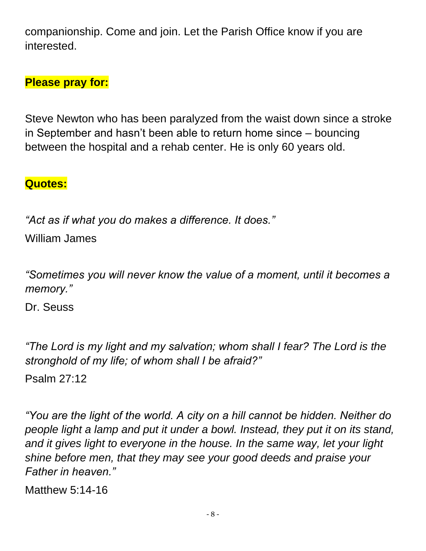companionship. Come and join. Let the Parish Office know if you are interested.

## **Please pray for:**

Steve Newton who has been paralyzed from the waist down since a stroke in September and hasn't been able to return home since – bouncing between the hospital and a rehab center. He is only 60 years old.

#### **Quotes:**

*"Act as if what you do makes a difference. It does."* William James

*"Sometimes you will never know the value of a moment, until it becomes a memory."* 

Dr. Seuss

*"The Lord is my light and my salvation; whom shall I fear? The Lord is the stronghold of my life; of whom shall I be afraid?"*

Psalm 27:12

*"You are the light of the world. A city on a hill cannot be hidden. Neither do people light a lamp and put it under a bowl. Instead, they put it on its stand, and it gives light to everyone in the house. In the same way, let your light shine before men, that they may see your good deeds and praise your Father in heaven."*

Matthew 5:14-16